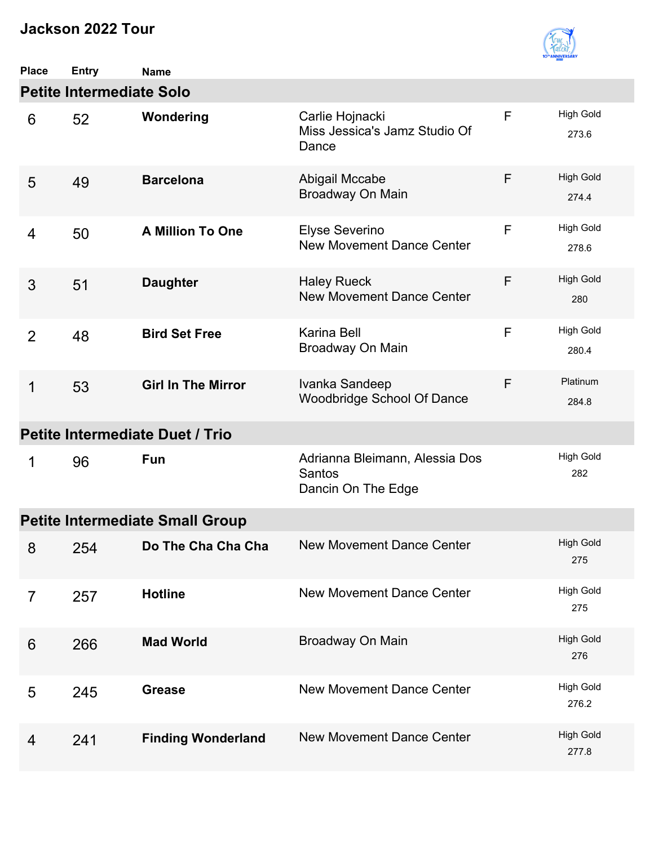

| <b>Place</b>   | <b>Entry</b>                    | <b>Name</b>                            |                                                                |   |                           |
|----------------|---------------------------------|----------------------------------------|----------------------------------------------------------------|---|---------------------------|
|                | <b>Petite Intermediate Solo</b> |                                        |                                                                |   |                           |
| 6              | 52                              | Wondering                              | Carlie Hojnacki<br>Miss Jessica's Jamz Studio Of<br>Dance      | F | <b>High Gold</b><br>273.6 |
| 5              | 49                              | <b>Barcelona</b>                       | Abigail Mccabe<br>Broadway On Main                             | F | <b>High Gold</b><br>274.4 |
| 4              | 50                              | <b>A Million To One</b>                | Elyse Severino<br><b>New Movement Dance Center</b>             | F | <b>High Gold</b><br>278.6 |
| 3              | 51                              | <b>Daughter</b>                        | <b>Haley Rueck</b><br><b>New Movement Dance Center</b>         | F | <b>High Gold</b><br>280   |
| $\overline{2}$ | 48                              | <b>Bird Set Free</b>                   | Karina Bell<br>Broadway On Main                                | F | <b>High Gold</b><br>280.4 |
| 1              | 53                              | <b>Girl In The Mirror</b>              | Ivanka Sandeep<br><b>Woodbridge School Of Dance</b>            | F | Platinum<br>284.8         |
|                |                                 | Petite Intermediate Duet / Trio        |                                                                |   |                           |
| 1              | 96                              | <b>Fun</b>                             | Adrianna Bleimann, Alessia Dos<br>Santos<br>Dancin On The Edge |   | <b>High Gold</b><br>282   |
|                |                                 | <b>Petite Intermediate Small Group</b> |                                                                |   |                           |
|                | 8 254                           | Do The Cha Cha Cha                     | New Movement Dance Center                                      |   | <b>High Gold</b><br>275   |
| $\overline{7}$ | 257                             | <b>Hotline</b>                         | <b>New Movement Dance Center</b>                               |   | <b>High Gold</b><br>275   |
| 6              | 266                             | <b>Mad World</b>                       | Broadway On Main                                               |   | <b>High Gold</b><br>276   |
| 5              | 245                             | <b>Grease</b>                          | <b>New Movement Dance Center</b>                               |   | <b>High Gold</b><br>276.2 |
| 4              | 241                             | <b>Finding Wonderland</b>              | <b>New Movement Dance Center</b>                               |   | <b>High Gold</b><br>277.8 |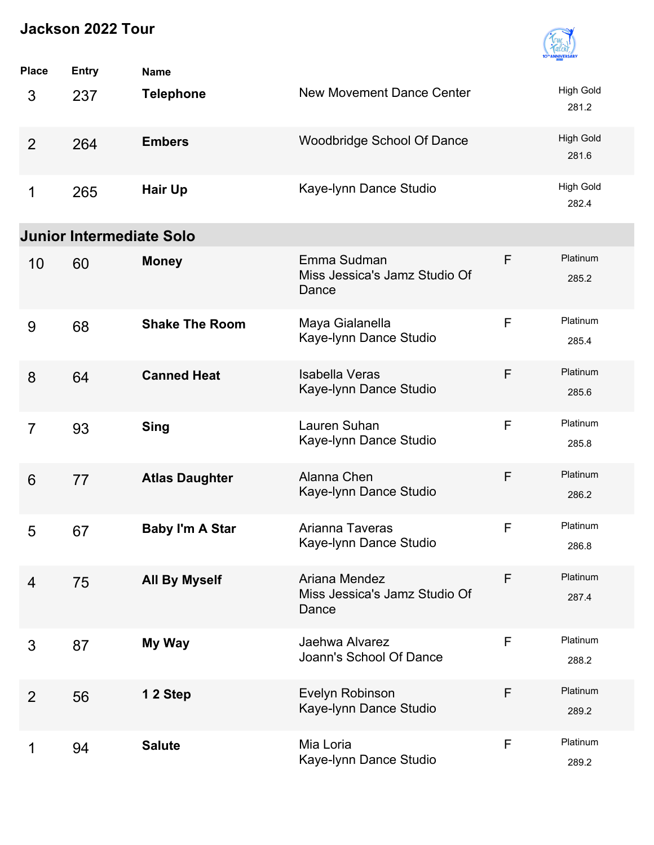

| <b>Place</b>   | <b>Entry</b>                    | <b>Name</b>            |                                                         |              |                           |
|----------------|---------------------------------|------------------------|---------------------------------------------------------|--------------|---------------------------|
| 3              | 237                             | <b>Telephone</b>       | <b>New Movement Dance Center</b>                        |              | <b>High Gold</b><br>281.2 |
| 2              | 264                             | <b>Embers</b>          | <b>Woodbridge School Of Dance</b>                       |              | <b>High Gold</b><br>281.6 |
| 1              | 265                             | <b>Hair Up</b>         | Kaye-Iynn Dance Studio                                  |              | <b>High Gold</b><br>282.4 |
|                | <b>Junior Intermediate Solo</b> |                        |                                                         |              |                           |
| 10             | 60                              | <b>Money</b>           | Emma Sudman<br>Miss Jessica's Jamz Studio Of<br>Dance   | F            | Platinum<br>285.2         |
| 9              | 68                              | <b>Shake The Room</b>  | Maya Gialanella<br>Kaye-Iynn Dance Studio               | F            | Platinum<br>285.4         |
| 8              | 64                              | <b>Canned Heat</b>     | <b>Isabella Veras</b><br>Kaye-Iynn Dance Studio         | F            | Platinum<br>285.6         |
| $\overline{7}$ | 93                              | <b>Sing</b>            | Lauren Suhan<br>Kaye-Iynn Dance Studio                  | F            | Platinum<br>285.8         |
| 6              | 77                              | <b>Atlas Daughter</b>  | Alanna Chen<br>Kaye-Iynn Dance Studio                   | F            | Platinum<br>286.2         |
| 5              | 67                              | <b>Baby I'm A Star</b> | Arianna Taveras<br>Kaye-Iynn Dance Studio               | $\mathsf{F}$ | Platinum<br>286.8         |
| 4              | 75                              | <b>All By Myself</b>   | Ariana Mendez<br>Miss Jessica's Jamz Studio Of<br>Dance | F            | Platinum<br>287.4         |
| 3              | 87                              | My Way                 | Jaehwa Alvarez<br>Joann's School Of Dance               | F            | Platinum<br>288.2         |
| $\overline{2}$ | 56                              | 12 Step                | Evelyn Robinson<br>Kaye-Iynn Dance Studio               | F            | Platinum<br>289.2         |
|                | 94                              | <b>Salute</b>          | Mia Loria<br>Kaye-Iynn Dance Studio                     | F            | Platinum<br>289.2         |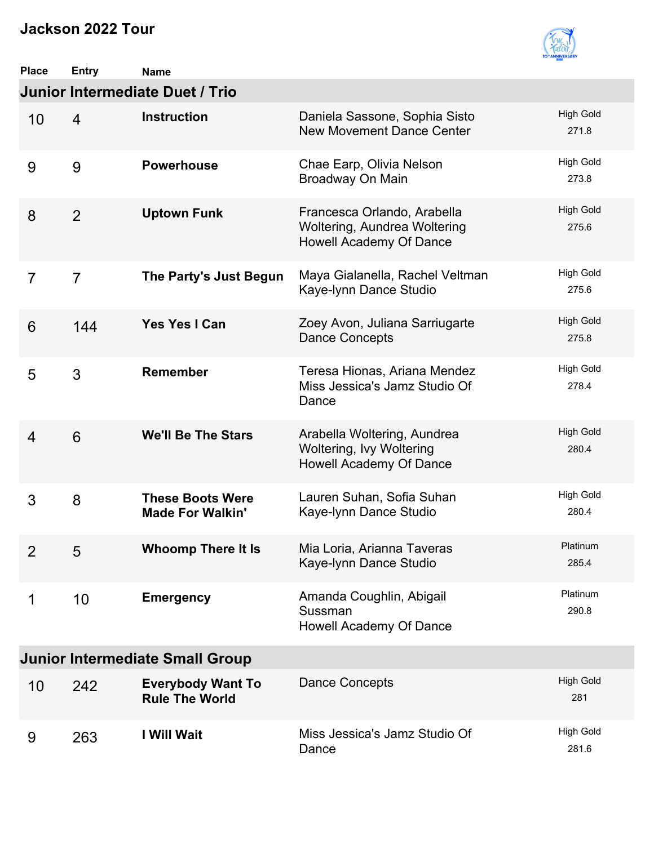

| <b>Place</b>   | <b>Entry</b>   | <b>Name</b>                                        |                                                                                        |                           |
|----------------|----------------|----------------------------------------------------|----------------------------------------------------------------------------------------|---------------------------|
|                |                | Junior Intermediate Duet / Trio                    |                                                                                        |                           |
| 10             | $\overline{4}$ | <b>Instruction</b>                                 | Daniela Sassone, Sophia Sisto<br><b>New Movement Dance Center</b>                      | <b>High Gold</b><br>271.8 |
| 9              | 9              | <b>Powerhouse</b>                                  | Chae Earp, Olivia Nelson<br>Broadway On Main                                           | <b>High Gold</b><br>273.8 |
| 8              | $\overline{2}$ | <b>Uptown Funk</b>                                 | Francesca Orlando, Arabella<br>Woltering, Aundrea Woltering<br>Howell Academy Of Dance | <b>High Gold</b><br>275.6 |
| $\overline{7}$ | $\overline{7}$ | The Party's Just Begun                             | Maya Gialanella, Rachel Veltman<br>Kaye-Iynn Dance Studio                              | <b>High Gold</b><br>275.6 |
| 6              | 144            | <b>Yes Yes I Can</b>                               | Zoey Avon, Juliana Sarriugarte<br><b>Dance Concepts</b>                                | <b>High Gold</b><br>275.8 |
| 5              | 3              | <b>Remember</b>                                    | Teresa Hionas, Ariana Mendez<br>Miss Jessica's Jamz Studio Of<br>Dance                 | <b>High Gold</b><br>278.4 |
| $\overline{4}$ | 6              | <b>We'll Be The Stars</b>                          | Arabella Woltering, Aundrea<br>Woltering, Ivy Woltering<br>Howell Academy Of Dance     | <b>High Gold</b><br>280.4 |
| 3              | 8              | <b>These Boots Were</b><br><b>Made For Walkin'</b> | Lauren Suhan, Sofia Suhan<br>Kaye-Iynn Dance Studio                                    | <b>High Gold</b><br>280.4 |
| $\overline{2}$ | 5              | <b>Whoomp There It Is</b>                          | Mia Loria, Arianna Taveras<br>Kaye-Iynn Dance Studio                                   | Platinum<br>285.4         |
| 1              | 10             | <b>Emergency</b>                                   | Amanda Coughlin, Abigail<br>Sussman<br>Howell Academy Of Dance                         | Platinum<br>290.8         |
|                |                | <b>Junior Intermediate Small Group</b>             |                                                                                        |                           |
| 10             | 242            | <b>Everybody Want To</b><br><b>Rule The World</b>  | <b>Dance Concepts</b>                                                                  | <b>High Gold</b><br>281   |
| 9              | 263            | I Will Wait                                        | Miss Jessica's Jamz Studio Of<br>Dance                                                 | <b>High Gold</b><br>281.6 |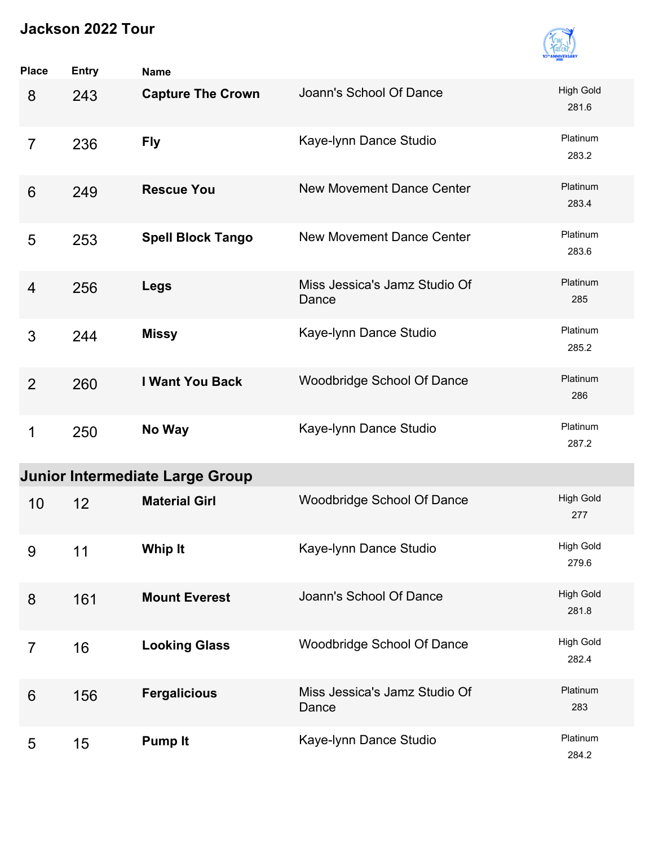

| <b>Place</b>   | <b>Entry</b> | <b>Name</b>                            |                                        |                           |
|----------------|--------------|----------------------------------------|----------------------------------------|---------------------------|
| 8              | 243          | <b>Capture The Crown</b>               | Joann's School Of Dance                | <b>High Gold</b><br>281.6 |
| $\overline{7}$ | 236          | <b>Fly</b>                             | Kaye-Iynn Dance Studio                 | Platinum<br>283.2         |
| 6              | 249          | <b>Rescue You</b>                      | <b>New Movement Dance Center</b>       | Platinum<br>283.4         |
| 5              | 253          | <b>Spell Block Tango</b>               | <b>New Movement Dance Center</b>       | Platinum<br>283.6         |
| 4              | 256          | <b>Legs</b>                            | Miss Jessica's Jamz Studio Of<br>Dance | Platinum<br>285           |
| 3              | 244          | <b>Missy</b>                           | Kaye-Iynn Dance Studio                 | Platinum<br>285.2         |
| $\overline{2}$ | 260          | I Want You Back                        | <b>Woodbridge School Of Dance</b>      | Platinum<br>286           |
| 1              | 250          | No Way                                 | Kaye-Iynn Dance Studio                 | Platinum<br>287.2         |
|                |              | <b>Junior Intermediate Large Group</b> |                                        |                           |
| 10             | 12           | <b>Material Girl</b>                   | <b>Woodbridge School Of Dance</b>      | <b>High Gold</b><br>277   |
| 9              | 11           | <b>Whip It</b>                         | Kaye-Iynn Dance Studio                 | High Gold<br>279.6        |
| 8              | 161          | <b>Mount Everest</b>                   | Joann's School Of Dance                | <b>High Gold</b><br>281.8 |
| $\overline{7}$ | 16           | <b>Looking Glass</b>                   | Woodbridge School Of Dance             | <b>High Gold</b><br>282.4 |
| 6              | 156          | <b>Fergalicious</b>                    | Miss Jessica's Jamz Studio Of<br>Dance | Platinum<br>283           |
| 5              | 15           | <b>Pump It</b>                         | Kaye-Iynn Dance Studio                 | Platinum<br>284.2         |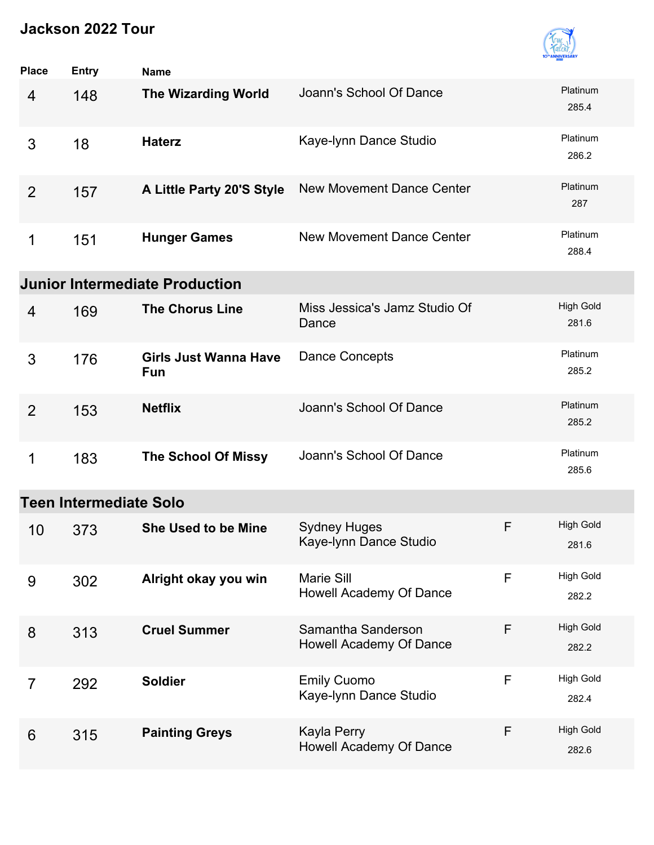

| <b>Place</b>   | <b>Entry</b>                  | <b>Name</b>                                |                                               |   |                           |
|----------------|-------------------------------|--------------------------------------------|-----------------------------------------------|---|---------------------------|
| $\overline{4}$ | 148                           | <b>The Wizarding World</b>                 | Joann's School Of Dance                       |   | Platinum<br>285.4         |
| 3              | 18                            | <b>Haterz</b>                              | Kaye-Iynn Dance Studio                        |   | Platinum<br>286.2         |
| $\overline{2}$ | 157                           | A Little Party 20'S Style                  | New Movement Dance Center                     |   | Platinum<br>287           |
| 1              | 151                           | <b>Hunger Games</b>                        | <b>New Movement Dance Center</b>              |   | Platinum<br>288.4         |
|                |                               | <b>Junior Intermediate Production</b>      |                                               |   |                           |
| 4              | 169                           | <b>The Chorus Line</b>                     | Miss Jessica's Jamz Studio Of<br>Dance        |   | <b>High Gold</b><br>281.6 |
| 3              | 176                           | <b>Girls Just Wanna Have</b><br><b>Fun</b> | Dance Concepts                                |   | Platinum<br>285.2         |
| $\overline{2}$ | 153                           | <b>Netflix</b>                             | Joann's School Of Dance                       |   | Platinum<br>285.2         |
| 1              | 183                           | <b>The School Of Missy</b>                 | Joann's School Of Dance                       |   | Platinum<br>285.6         |
|                | <b>Teen Intermediate Solo</b> |                                            |                                               |   |                           |
| 10             | 373                           | <b>She Used to be Mine</b>                 | <b>Sydney Huges</b><br>Kaye-Iynn Dance Studio | F | <b>High Gold</b><br>281.6 |
| 9              | 302                           | Alright okay you win                       | Marie Sill<br>Howell Academy Of Dance         | F | <b>High Gold</b><br>282.2 |
| 8              | 313                           | <b>Cruel Summer</b>                        | Samantha Sanderson<br>Howell Academy Of Dance | F | <b>High Gold</b><br>282.2 |
| $\overline{7}$ | 292                           | <b>Soldier</b>                             | <b>Emily Cuomo</b><br>Kaye-Iynn Dance Studio  | F | <b>High Gold</b><br>282.4 |
| 6              | 315                           | <b>Painting Greys</b>                      | Kayla Perry<br>Howell Academy Of Dance        | F | <b>High Gold</b><br>282.6 |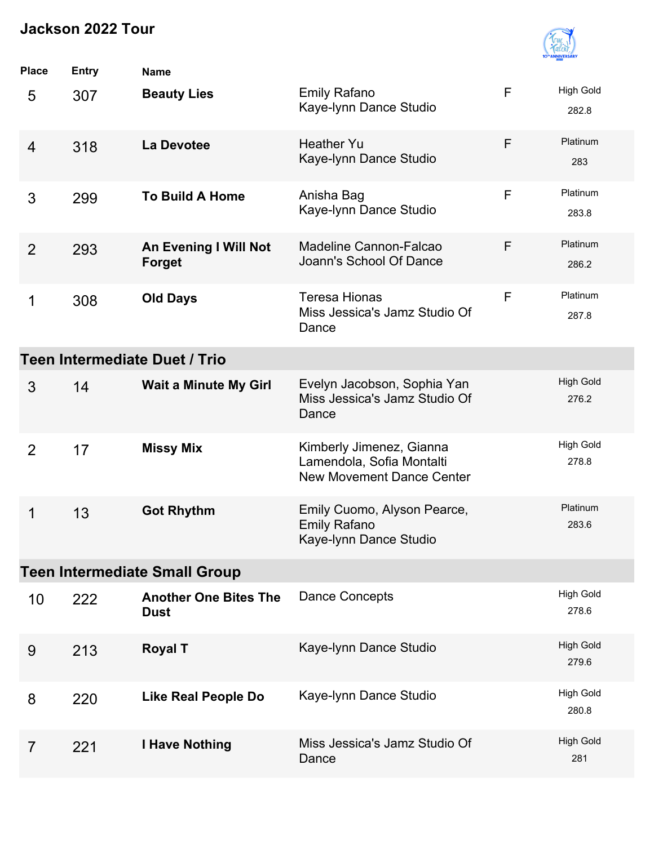

| <b>Place</b>   | <b>Entry</b> | <b>Name</b>                                 |                                                                                           |   |                           |
|----------------|--------------|---------------------------------------------|-------------------------------------------------------------------------------------------|---|---------------------------|
| 5              | 307          | <b>Beauty Lies</b>                          | <b>Emily Rafano</b><br>Kaye-Iynn Dance Studio                                             | F | <b>High Gold</b><br>282.8 |
| $\overline{4}$ | 318          | <b>La Devotee</b>                           | <b>Heather Yu</b><br>Kaye-Iynn Dance Studio                                               | F | Platinum<br>283           |
| 3              | 299          | <b>To Build A Home</b>                      | Anisha Bag<br>Kaye-Iynn Dance Studio                                                      | F | Platinum<br>283.8         |
| 2              | 293          | An Evening I Will Not<br><b>Forget</b>      | Madeline Cannon-Falcao<br>Joann's School Of Dance                                         | F | Platinum<br>286.2         |
| 1              | 308          | <b>Old Days</b>                             | <b>Teresa Hionas</b><br>Miss Jessica's Jamz Studio Of<br>Dance                            | F | Platinum<br>287.8         |
|                |              | Teen Intermediate Duet / Trio               |                                                                                           |   |                           |
| 3              | 14           | <b>Wait a Minute My Girl</b>                | Evelyn Jacobson, Sophia Yan<br>Miss Jessica's Jamz Studio Of<br>Dance                     |   | <b>High Gold</b><br>276.2 |
| $\overline{2}$ | 17           | <b>Missy Mix</b>                            | Kimberly Jimenez, Gianna<br>Lamendola, Sofia Montalti<br><b>New Movement Dance Center</b> |   | <b>High Gold</b><br>278.8 |
| 1              | 13           | <b>Got Rhythm</b>                           | Emily Cuomo, Alyson Pearce,<br><b>Emily Rafano</b><br>Kaye-Iynn Dance Studio              |   | Platinum<br>283.6         |
|                |              | <b>Teen Intermediate Small Group</b>        |                                                                                           |   |                           |
| 10             | 222          | <b>Another One Bites The</b><br><b>Dust</b> | Dance Concepts                                                                            |   | <b>High Gold</b><br>278.6 |
| 9              | 213          | <b>Royal T</b>                              | Kaye-Iynn Dance Studio                                                                    |   | <b>High Gold</b><br>279.6 |
| 8              | 220          | Like Real People Do                         | Kaye-Iynn Dance Studio                                                                    |   | <b>High Gold</b><br>280.8 |
| $\overline{7}$ | 221          | <b>I Have Nothing</b>                       | Miss Jessica's Jamz Studio Of<br>Dance                                                    |   | <b>High Gold</b><br>281   |
|                |              |                                             |                                                                                           |   |                           |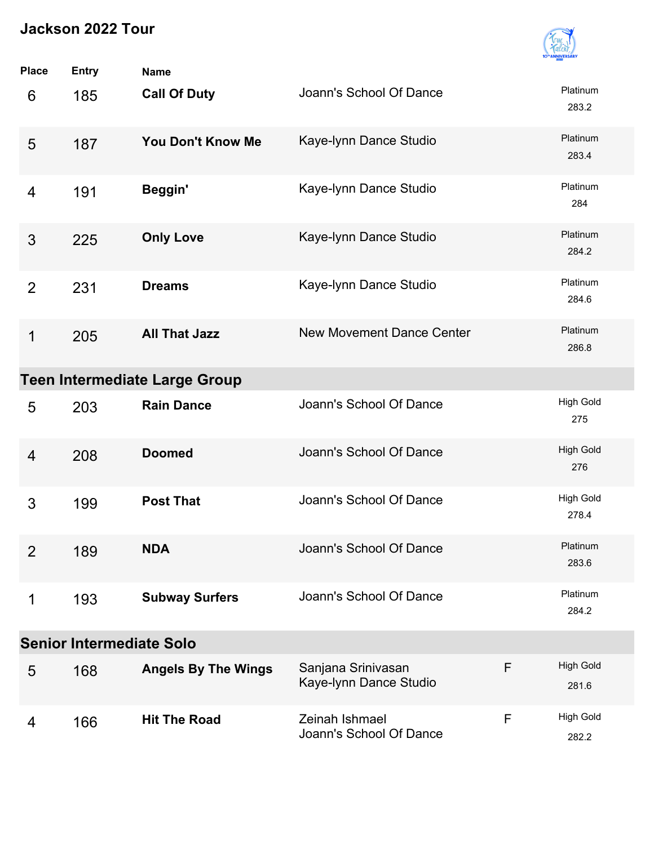

| <b>Place</b>   | <b>Entry</b>                         | <b>Name</b>                |                                              |   |                           |  |  |
|----------------|--------------------------------------|----------------------------|----------------------------------------------|---|---------------------------|--|--|
| 6              | 185                                  | <b>Call Of Duty</b>        | Joann's School Of Dance                      |   | Platinum<br>283.2         |  |  |
| 5              | 187                                  | <b>You Don't Know Me</b>   | Kaye-Iynn Dance Studio                       |   | Platinum<br>283.4         |  |  |
| 4              | 191                                  | Beggin'                    | Kaye-Iynn Dance Studio                       |   | Platinum<br>284           |  |  |
| 3              | 225                                  | <b>Only Love</b>           | Kaye-Iynn Dance Studio                       |   | Platinum<br>284.2         |  |  |
| $\overline{2}$ | 231                                  | <b>Dreams</b>              | Kaye-Iynn Dance Studio                       |   | Platinum<br>284.6         |  |  |
| 1              | 205                                  | <b>All That Jazz</b>       | <b>New Movement Dance Center</b>             |   | Platinum<br>286.8         |  |  |
|                | <b>Teen Intermediate Large Group</b> |                            |                                              |   |                           |  |  |
| 5              | 203                                  | <b>Rain Dance</b>          | Joann's School Of Dance                      |   | <b>High Gold</b><br>275   |  |  |
| 4              | 208                                  | <b>Doomed</b>              | Joann's School Of Dance                      |   | <b>High Gold</b><br>276   |  |  |
| 3              | 199                                  | <b>Post That</b>           | Joann's School Of Dance                      |   | <b>High Gold</b><br>278.4 |  |  |
| $\overline{2}$ | 189                                  | <b>NDA</b>                 | Joann's School Of Dance                      |   | Platinum<br>283.6         |  |  |
| 1              | 193                                  | <b>Subway Surfers</b>      | Joann's School Of Dance                      |   | Platinum<br>284.2         |  |  |
|                | <b>Senior Intermediate Solo</b>      |                            |                                              |   |                           |  |  |
| 5              | 168                                  | <b>Angels By The Wings</b> | Sanjana Srinivasan<br>Kaye-Iynn Dance Studio | F | <b>High Gold</b><br>281.6 |  |  |
| 4              | 166                                  | <b>Hit The Road</b>        | Zeinah Ishmael<br>Joann's School Of Dance    | F | <b>High Gold</b><br>282.2 |  |  |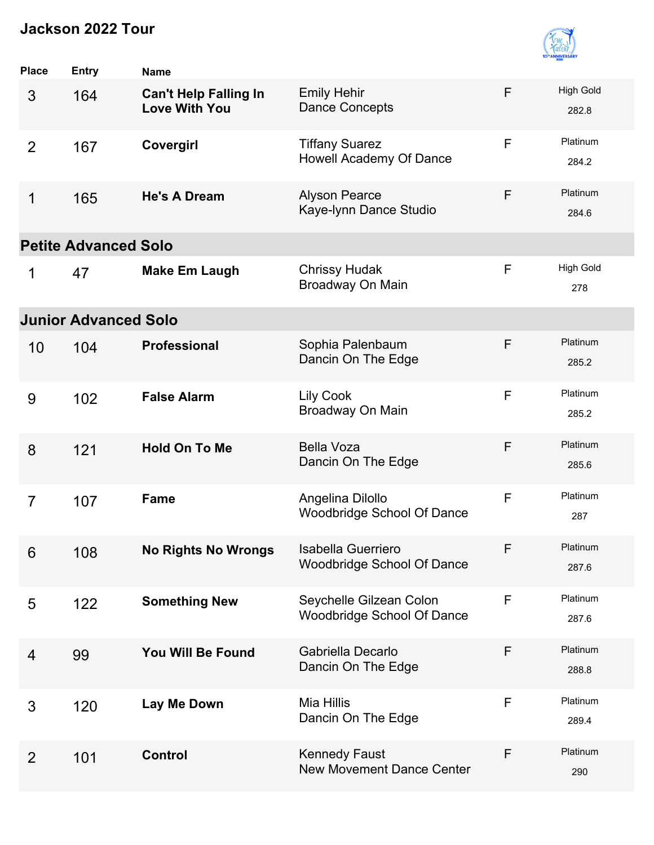

| <b>Place</b>   | Entry                       | <b>Name</b>                                          |                                                              |              |                           |
|----------------|-----------------------------|------------------------------------------------------|--------------------------------------------------------------|--------------|---------------------------|
| 3              | 164                         | <b>Can't Help Falling In</b><br><b>Love With You</b> | <b>Emily Hehir</b><br><b>Dance Concepts</b>                  | F            | <b>High Gold</b><br>282.8 |
| $\overline{2}$ | 167                         | Covergirl                                            | <b>Tiffany Suarez</b><br>Howell Academy Of Dance             | F            | Platinum<br>284.2         |
| 1              | 165                         | <b>He's A Dream</b>                                  | <b>Alyson Pearce</b><br>Kaye-Iynn Dance Studio               | F            | Platinum<br>284.6         |
|                | <b>Petite Advanced Solo</b> |                                                      |                                                              |              |                           |
| 1              | 47                          | <b>Make Em Laugh</b>                                 | <b>Chrissy Hudak</b><br>Broadway On Main                     | F            | <b>High Gold</b><br>278   |
|                | <b>Junior Advanced Solo</b> |                                                      |                                                              |              |                           |
| 10             | 104                         | <b>Professional</b>                                  | Sophia Palenbaum<br>Dancin On The Edge                       | F            | Platinum<br>285.2         |
| 9              | 102                         | <b>False Alarm</b>                                   | <b>Lily Cook</b><br>Broadway On Main                         | $\mathsf F$  | Platinum<br>285.2         |
| 8              | 121                         | <b>Hold On To Me</b>                                 | <b>Bella Voza</b><br>Dancin On The Edge                      | F            | Platinum<br>285.6         |
| $\overline{7}$ | 107                         | Fame                                                 | Angelina Dilollo<br><b>Woodbridge School Of Dance</b>        | F            | Platinum<br>287           |
| 6              | 108                         | <b>No Rights No Wrongs</b>                           | Isabella Guerriero<br><b>Woodbridge School Of Dance</b>      | F            | Platinum<br>287.6         |
| 5              | 122                         | <b>Something New</b>                                 | Seychelle Gilzean Colon<br><b>Woodbridge School Of Dance</b> | $\mathsf F$  | Platinum<br>287.6         |
| $\overline{4}$ | 99                          | You Will Be Found                                    | Gabriella Decarlo<br>Dancin On The Edge                      | F            | Platinum<br>288.8         |
| 3              | 120                         | Lay Me Down                                          | Mia Hillis<br>Dancin On The Edge                             | F            | Platinum<br>289.4         |
| $\overline{2}$ | 101                         | <b>Control</b>                                       | <b>Kennedy Faust</b><br><b>New Movement Dance Center</b>     | $\mathsf{F}$ | Platinum<br>290           |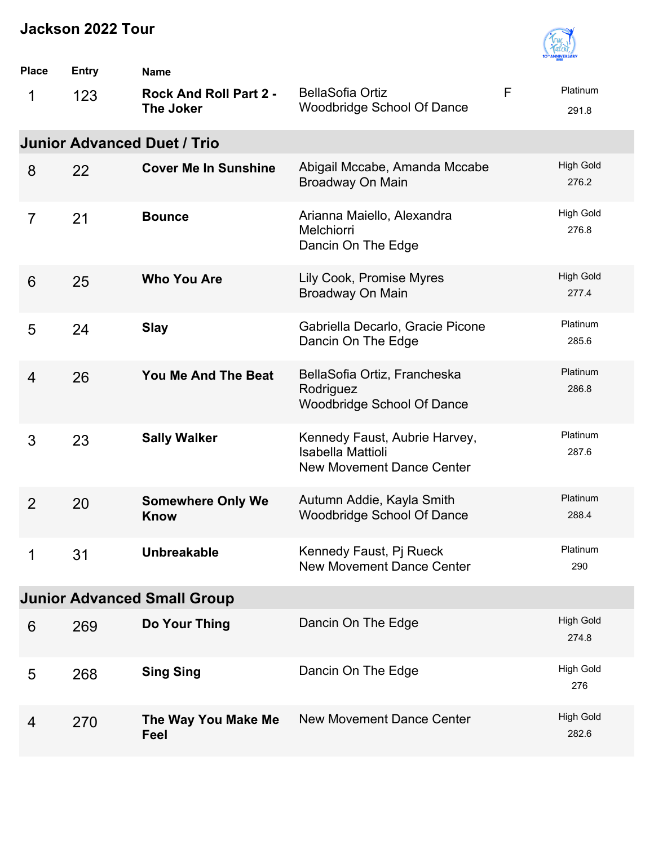

| <b>Place</b>   | <b>Entry</b> | <b>Name</b>                                       |                                                                                               |             |                           |
|----------------|--------------|---------------------------------------------------|-----------------------------------------------------------------------------------------------|-------------|---------------------------|
| 1              | 123          | <b>Rock And Roll Part 2 -</b><br><b>The Joker</b> | <b>BellaSofia Ortiz</b><br><b>Woodbridge School Of Dance</b>                                  | $\mathsf F$ | Platinum<br>291.8         |
|                |              | <b>Junior Advanced Duet / Trio</b>                |                                                                                               |             |                           |
| 8              | 22           | <b>Cover Me In Sunshine</b>                       | Abigail Mccabe, Amanda Mccabe<br>Broadway On Main                                             |             | <b>High Gold</b><br>276.2 |
| $\overline{7}$ | 21           | <b>Bounce</b>                                     | Arianna Maiello, Alexandra<br>Melchiorri<br>Dancin On The Edge                                |             | <b>High Gold</b><br>276.8 |
| 6              | 25           | <b>Who You Are</b>                                | Lily Cook, Promise Myres<br>Broadway On Main                                                  |             | <b>High Gold</b><br>277.4 |
| 5              | 24           | <b>Slay</b>                                       | Gabriella Decarlo, Gracie Picone<br>Dancin On The Edge                                        |             | Platinum<br>285.6         |
| $\overline{4}$ | 26           | You Me And The Beat                               | BellaSofia Ortiz, Francheska<br>Rodriguez<br><b>Woodbridge School Of Dance</b>                |             | Platinum<br>286.8         |
| 3              | 23           | <b>Sally Walker</b>                               | Kennedy Faust, Aubrie Harvey,<br><b>Isabella Mattioli</b><br><b>New Movement Dance Center</b> |             | Platinum<br>287.6         |
| $\overline{2}$ | 20           | <b>Somewhere Only We</b><br><b>Know</b>           | Autumn Addie, Kayla Smith<br><b>Woodbridge School Of Dance</b>                                |             | Platinum<br>288.4         |
| 1              | 31           | <b>Unbreakable</b>                                | Kennedy Faust, Pj Rueck<br><b>New Movement Dance Center</b>                                   |             | Platinum<br>290           |
|                |              | <b>Junior Advanced Small Group</b>                |                                                                                               |             |                           |
| 6              | 269          | Do Your Thing                                     | Dancin On The Edge                                                                            |             | <b>High Gold</b><br>274.8 |
| 5              | 268          | <b>Sing Sing</b>                                  | Dancin On The Edge                                                                            |             | <b>High Gold</b><br>276   |
| 4              | 270          | The Way You Make Me<br>Feel                       | <b>New Movement Dance Center</b>                                                              |             | <b>High Gold</b><br>282.6 |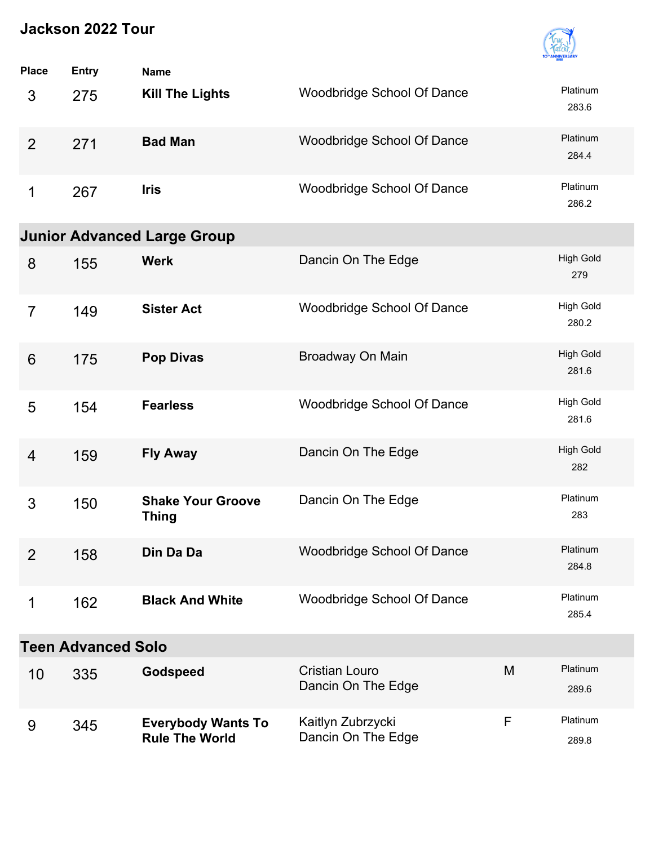

| <b>Place</b>    | <b>Entry</b>              | <b>Name</b>                                        |                                             |   |                           |
|-----------------|---------------------------|----------------------------------------------------|---------------------------------------------|---|---------------------------|
| 3               | 275                       | <b>Kill The Lights</b>                             | Woodbridge School Of Dance                  |   | Platinum<br>283.6         |
| $\overline{2}$  | 271                       | <b>Bad Man</b>                                     | Woodbridge School Of Dance                  |   | Platinum<br>284.4         |
| 1               | 267                       | <b>Iris</b>                                        | Woodbridge School Of Dance                  |   | Platinum<br>286.2         |
|                 |                           | <b>Junior Advanced Large Group</b>                 |                                             |   |                           |
| 8               | 155                       | <b>Werk</b>                                        | Dancin On The Edge                          |   | <b>High Gold</b><br>279   |
| $\overline{7}$  | 149                       | <b>Sister Act</b>                                  | <b>Woodbridge School Of Dance</b>           |   | <b>High Gold</b><br>280.2 |
| $6\phantom{1}6$ | 175                       | <b>Pop Divas</b>                                   | Broadway On Main                            |   | <b>High Gold</b><br>281.6 |
| 5               | 154                       | <b>Fearless</b>                                    | Woodbridge School Of Dance                  |   | <b>High Gold</b><br>281.6 |
| $\overline{4}$  | 159                       | <b>Fly Away</b>                                    | Dancin On The Edge                          |   | <b>High Gold</b><br>282   |
| 3               | 150                       | <b>Shake Your Groove</b><br><b>Thing</b>           | Dancin On The Edge                          |   | Platinum<br>283           |
| $\overline{2}$  | 158                       | Din Da Da                                          | Woodbridge School Of Dance                  |   | Platinum<br>284.8         |
| 1               | 162                       | <b>Black And White</b>                             | Woodbridge School Of Dance                  |   | Platinum<br>285.4         |
|                 | <b>Teen Advanced Solo</b> |                                                    |                                             |   |                           |
| 10              | 335                       | Godspeed                                           | <b>Cristian Louro</b><br>Dancin On The Edge | M | Platinum<br>289.6         |
| 9               | 345                       | <b>Everybody Wants To</b><br><b>Rule The World</b> | Kaitlyn Zubrzycki<br>Dancin On The Edge     | F | Platinum<br>289.8         |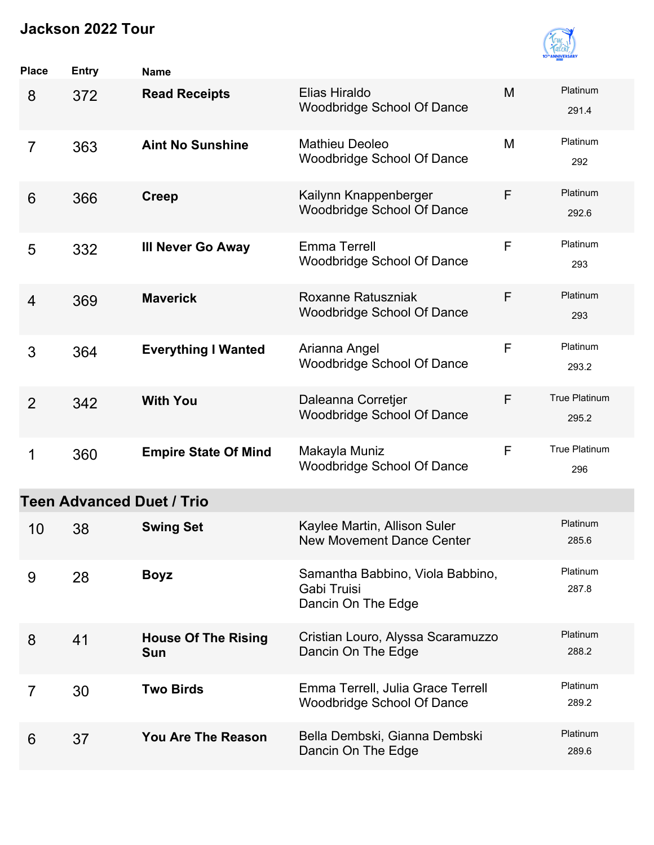

| <b>Place</b>   | <b>Entry</b> | <b>Name</b>                       |                                                                        |   |                        |
|----------------|--------------|-----------------------------------|------------------------------------------------------------------------|---|------------------------|
| 8              | 372          | <b>Read Receipts</b>              | Elias Hiraldo<br><b>Woodbridge School Of Dance</b>                     | M | Platinum<br>291.4      |
| $\overline{7}$ | 363          | <b>Aint No Sunshine</b>           | <b>Mathieu Deoleo</b><br><b>Woodbridge School Of Dance</b>             | M | Platinum<br>292        |
| 6              | 366          | <b>Creep</b>                      | Kailynn Knappenberger<br>Woodbridge School Of Dance                    | F | Platinum<br>292.6      |
| 5              | 332          | <b>III Never Go Away</b>          | Emma Terrell<br><b>Woodbridge School Of Dance</b>                      | F | Platinum<br>293        |
| $\overline{4}$ | 369          | <b>Maverick</b>                   | Roxanne Ratuszniak<br><b>Woodbridge School Of Dance</b>                | F | Platinum<br>293        |
| 3              | 364          | <b>Everything I Wanted</b>        | Arianna Angel<br><b>Woodbridge School Of Dance</b>                     | F | Platinum<br>293.2      |
| $\overline{2}$ | 342          | <b>With You</b>                   | Daleanna Corretjer<br><b>Woodbridge School Of Dance</b>                | F | True Platinum<br>295.2 |
| 1              | 360          | <b>Empire State Of Mind</b>       | Makayla Muniz<br><b>Woodbridge School Of Dance</b>                     | F | True Platinum<br>296   |
|                |              | <b>Teen Advanced Duet / Trio</b>  |                                                                        |   |                        |
| 10             | 38           | <b>Swing Set</b>                  | Kaylee Martin, Allison Suler<br><b>New Movement Dance Center</b>       |   | Platinum<br>285.6      |
| 9              | 28           | <b>Boyz</b>                       | Samantha Babbino, Viola Babbino,<br>Gabi Truisi<br>Dancin On The Edge  |   | Platinum<br>287.8      |
| 8              | 41           | <b>House Of The Rising</b><br>Sun | Cristian Louro, Alyssa Scaramuzzo<br>Dancin On The Edge                |   | Platinum<br>288.2      |
| $\overline{7}$ | 30           | <b>Two Birds</b>                  | Emma Terrell, Julia Grace Terrell<br><b>Woodbridge School Of Dance</b> |   | Platinum<br>289.2      |
| 6              | 37           | <b>You Are The Reason</b>         | Bella Dembski, Gianna Dembski<br>Dancin On The Edge                    |   | Platinum<br>289.6      |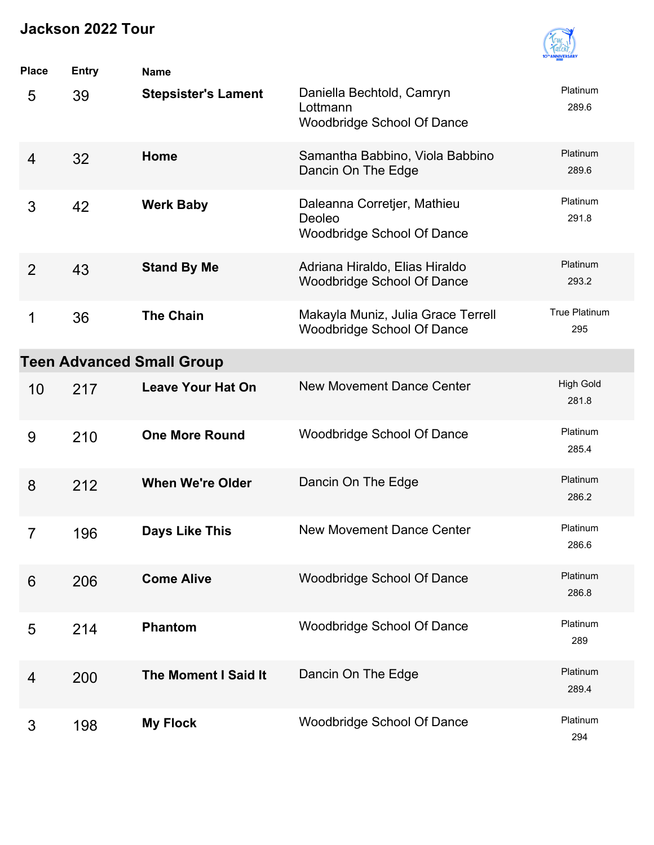

| <b>Place</b>   | <b>Entry</b> | <b>Name</b>                      |                                                                            |                             |
|----------------|--------------|----------------------------------|----------------------------------------------------------------------------|-----------------------------|
| 5              | 39           | <b>Stepsister's Lament</b>       | Daniella Bechtold, Camryn<br>Lottmann<br>Woodbridge School Of Dance        | Platinum<br>289.6           |
| $\overline{4}$ | 32           | Home                             | Samantha Babbino, Viola Babbino<br>Dancin On The Edge                      | Platinum<br>289.6           |
| 3              | 42           | <b>Werk Baby</b>                 | Daleanna Corretjer, Mathieu<br>Deoleo<br><b>Woodbridge School Of Dance</b> | Platinum<br>291.8           |
| $\overline{2}$ | 43           | <b>Stand By Me</b>               | Adriana Hiraldo, Elias Hiraldo<br><b>Woodbridge School Of Dance</b>        | Platinum<br>293.2           |
| 1              | 36           | <b>The Chain</b>                 | Makayla Muniz, Julia Grace Terrell<br><b>Woodbridge School Of Dance</b>    | <b>True Platinum</b><br>295 |
|                |              | <b>Teen Advanced Small Group</b> |                                                                            |                             |
| 10             | 217          | <b>Leave Your Hat On</b>         | <b>New Movement Dance Center</b>                                           | <b>High Gold</b><br>281.8   |
| 9              | 210          | <b>One More Round</b>            | <b>Woodbridge School Of Dance</b>                                          | Platinum<br>285.4           |
| 8              | 212          | <b>When We're Older</b>          | Dancin On The Edge                                                         | Platinum<br>286.2           |
| $\overline{7}$ | 196          | <b>Days Like This</b>            | <b>New Movement Dance Center</b>                                           | Platinum<br>286.6           |
| 6              | 206          | <b>Come Alive</b>                | <b>Woodbridge School Of Dance</b>                                          | Platinum<br>286.8           |
| 5              | 214          | <b>Phantom</b>                   | <b>Woodbridge School Of Dance</b>                                          | Platinum<br>289             |
| 4              | 200          | <b>The Moment I Said It</b>      | Dancin On The Edge                                                         | Platinum<br>289.4           |
| 3              | 198          | <b>My Flock</b>                  | <b>Woodbridge School Of Dance</b>                                          | Platinum<br>294             |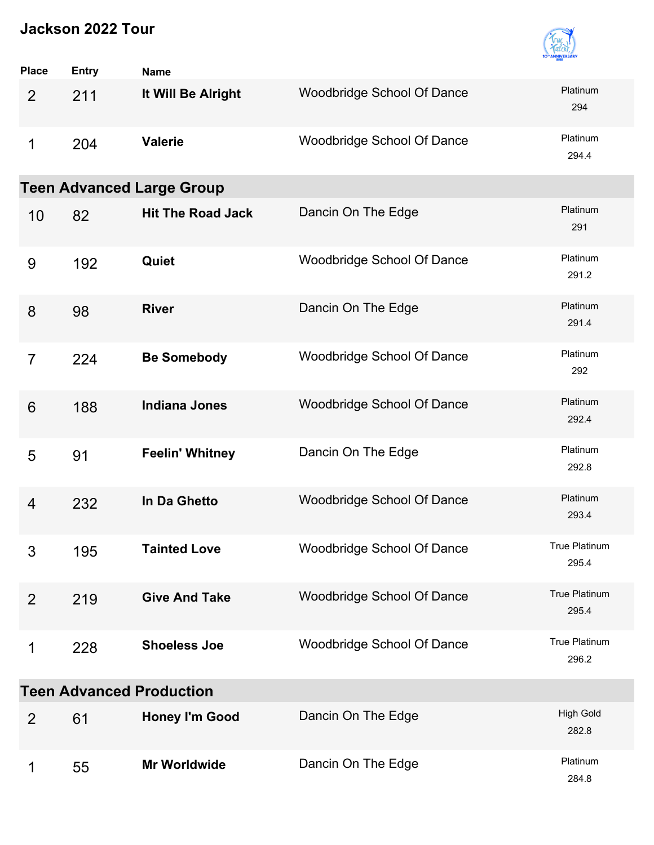

| <b>Place</b>                    | <b>Entry</b> | <b>Name</b>                      |                            |                           |  |  |
|---------------------------------|--------------|----------------------------------|----------------------------|---------------------------|--|--|
| 2                               | 211          | It Will Be Alright               | Woodbridge School Of Dance | Platinum<br>294           |  |  |
| 1                               | 204          | <b>Valerie</b>                   | Woodbridge School Of Dance | Platinum<br>294.4         |  |  |
|                                 |              | <b>Teen Advanced Large Group</b> |                            |                           |  |  |
| 10                              | 82           | <b>Hit The Road Jack</b>         | Dancin On The Edge         | Platinum<br>291           |  |  |
| 9                               | 192          | Quiet                            | Woodbridge School Of Dance | Platinum<br>291.2         |  |  |
| 8                               | 98           | <b>River</b>                     | Dancin On The Edge         | Platinum<br>291.4         |  |  |
| $\overline{7}$                  | 224          | <b>Be Somebody</b>               | Woodbridge School Of Dance | Platinum<br>292           |  |  |
| 6                               | 188          | <b>Indiana Jones</b>             | Woodbridge School Of Dance | Platinum<br>292.4         |  |  |
| 5                               | 91           | <b>Feelin' Whitney</b>           | Dancin On The Edge         | Platinum<br>292.8         |  |  |
| 4                               | 232          | In Da Ghetto                     | Woodbridge School Of Dance | Platinum<br>293.4         |  |  |
| 3                               | 195          | <b>Tainted Love</b>              | Woodbridge School Of Dance | True Platinum<br>295.4    |  |  |
| 2                               | 219          | <b>Give And Take</b>             | Woodbridge School Of Dance | True Platinum<br>295.4    |  |  |
| 1                               | 228          | <b>Shoeless Joe</b>              | Woodbridge School Of Dance | True Platinum<br>296.2    |  |  |
| <b>Teen Advanced Production</b> |              |                                  |                            |                           |  |  |
| $\overline{2}$                  | 61           | <b>Honey I'm Good</b>            | Dancin On The Edge         | <b>High Gold</b><br>282.8 |  |  |
| 1                               | 55           | <b>Mr Worldwide</b>              | Dancin On The Edge         | Platinum<br>284.8         |  |  |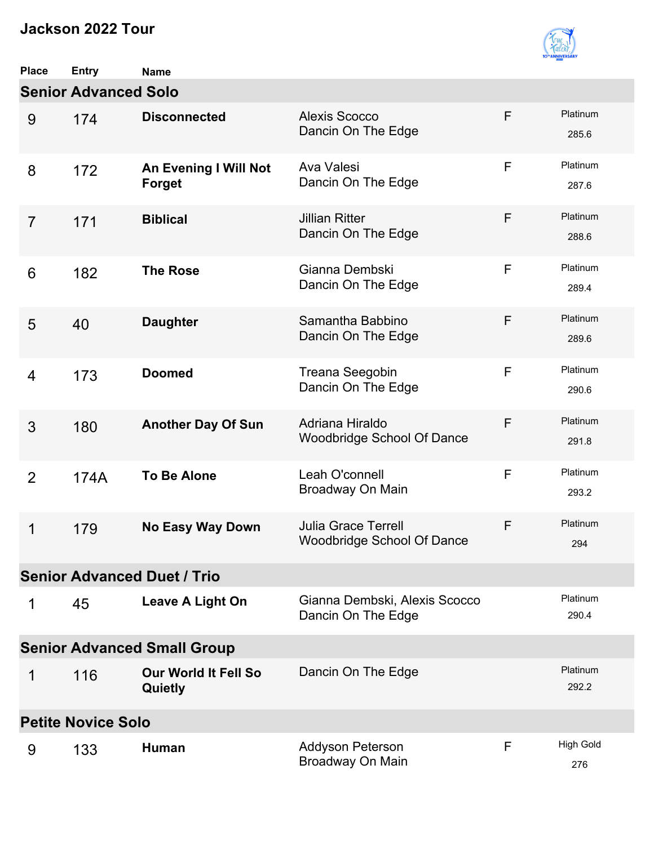

| <b>Place</b>                       | <b>Entry</b> | <b>Name</b>                                   |                                                                 |              |                         |  |  |
|------------------------------------|--------------|-----------------------------------------------|-----------------------------------------------------------------|--------------|-------------------------|--|--|
| <b>Senior Advanced Solo</b>        |              |                                               |                                                                 |              |                         |  |  |
| 9                                  | 174          | <b>Disconnected</b>                           | <b>Alexis Scocco</b><br>Dancin On The Edge                      | F            | Platinum<br>285.6       |  |  |
| 8                                  | 172          | <b>An Evening I Will Not</b><br><b>Forget</b> | Ava Valesi<br>Dancin On The Edge                                | F            | Platinum<br>287.6       |  |  |
| $\overline{7}$                     | 171          | <b>Biblical</b>                               | <b>Jillian Ritter</b><br>Dancin On The Edge                     | F            | Platinum<br>288.6       |  |  |
| 6                                  | 182          | <b>The Rose</b>                               | Gianna Dembski<br>Dancin On The Edge                            | $\mathsf{F}$ | Platinum<br>289.4       |  |  |
| 5                                  | 40           | <b>Daughter</b>                               | Samantha Babbino<br>Dancin On The Edge                          | F            | Platinum<br>289.6       |  |  |
| 4                                  | 173          | <b>Doomed</b>                                 | Treana Seegobin<br>Dancin On The Edge                           | $\mathsf{F}$ | Platinum<br>290.6       |  |  |
| 3                                  | 180          | <b>Another Day Of Sun</b>                     | Adriana Hiraldo<br><b>Woodbridge School Of Dance</b>            | F            | Platinum<br>291.8       |  |  |
| 2                                  | 174A         | <b>To Be Alone</b>                            | Leah O'connell<br>Broadway On Main                              | F            | Platinum<br>293.2       |  |  |
| 1                                  | 179          | <b>No Easy Way Down</b>                       | <b>Julia Grace Terrell</b><br><b>Woodbridge School Of Dance</b> | F            | Platinum<br>294         |  |  |
| <b>Senior Advanced Duet / Trio</b> |              |                                               |                                                                 |              |                         |  |  |
| 1                                  | 45           | Leave A Light On                              | Gianna Dembski, Alexis Scocco<br>Dancin On The Edge             |              | Platinum<br>290.4       |  |  |
| <b>Senior Advanced Small Group</b> |              |                                               |                                                                 |              |                         |  |  |
| 1                                  | 116          | <b>Our World It Fell So</b><br>Quietly        | Dancin On The Edge                                              |              | Platinum<br>292.2       |  |  |
| <b>Petite Novice Solo</b>          |              |                                               |                                                                 |              |                         |  |  |
| 9                                  | 133          | Human                                         | Addyson Peterson<br>Broadway On Main                            | F            | <b>High Gold</b><br>276 |  |  |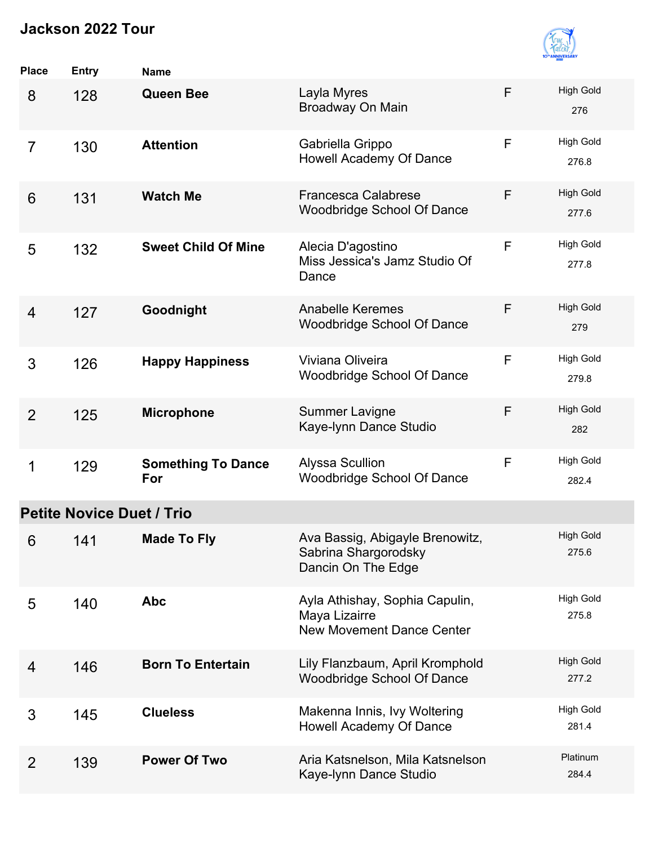

| <b>Place</b>   | <b>Entry</b>                     | <b>Name</b>                      |                                                                                     |              |                           |
|----------------|----------------------------------|----------------------------------|-------------------------------------------------------------------------------------|--------------|---------------------------|
| 8              | 128                              | <b>Queen Bee</b>                 | Layla Myres<br>Broadway On Main                                                     | F            | <b>High Gold</b><br>276   |
| $\overline{7}$ | 130                              | <b>Attention</b>                 | Gabriella Grippo<br><b>Howell Academy Of Dance</b>                                  | F            | <b>High Gold</b><br>276.8 |
| 6              | 131                              | <b>Watch Me</b>                  | <b>Francesca Calabrese</b><br><b>Woodbridge School Of Dance</b>                     | F            | <b>High Gold</b><br>277.6 |
| 5              | 132                              | <b>Sweet Child Of Mine</b>       | Alecia D'agostino<br>Miss Jessica's Jamz Studio Of<br>Dance                         | $\mathsf{F}$ | <b>High Gold</b><br>277.8 |
| $\overline{4}$ | 127                              | Goodnight                        | <b>Anabelle Keremes</b><br><b>Woodbridge School Of Dance</b>                        | F            | <b>High Gold</b><br>279   |
| 3              | 126                              | <b>Happy Happiness</b>           | Viviana Oliveira<br>Woodbridge School Of Dance                                      | F            | <b>High Gold</b><br>279.8 |
| 2              | 125                              | <b>Microphone</b>                | Summer Lavigne<br>Kaye-Iynn Dance Studio                                            | F            | <b>High Gold</b><br>282   |
| 1              | 129                              | <b>Something To Dance</b><br>For | <b>Alyssa Scullion</b><br><b>Woodbridge School Of Dance</b>                         | F            | <b>High Gold</b><br>282.4 |
|                | <b>Petite Novice Duet / Trio</b> |                                  |                                                                                     |              |                           |
| 6              | 141                              | <b>Made To Fly</b>               | Ava Bassig, Abigayle Brenowitz,<br>Sabrina Shargorodsky<br>Dancin On The Edge       |              | <b>High Gold</b><br>275.6 |
| 5              | 140                              | <b>Abc</b>                       | Ayla Athishay, Sophia Capulin,<br>Maya Lizairre<br><b>New Movement Dance Center</b> |              | <b>High Gold</b><br>275.8 |
| 4              | 146                              | <b>Born To Entertain</b>         | Lily Flanzbaum, April Kromphold<br><b>Woodbridge School Of Dance</b>                |              | <b>High Gold</b><br>277.2 |
| 3              | 145                              | <b>Clueless</b>                  | Makenna Innis, Ivy Woltering<br>Howell Academy Of Dance                             |              | <b>High Gold</b><br>281.4 |
| $\overline{2}$ | 139                              | <b>Power Of Two</b>              | Aria Katsnelson, Mila Katsnelson<br>Kaye-Iynn Dance Studio                          |              | Platinum<br>284.4         |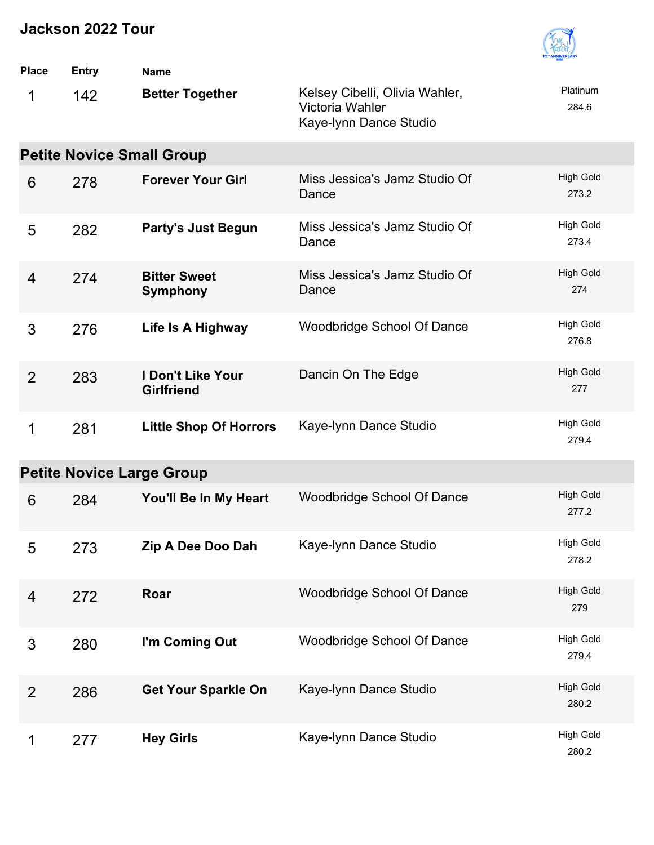

| <b>Place</b>   | <b>Entry</b>                     | <b>Name</b>                            |                                                                             |                           |  |  |  |  |  |
|----------------|----------------------------------|----------------------------------------|-----------------------------------------------------------------------------|---------------------------|--|--|--|--|--|
| 1              | 142                              | <b>Better Together</b>                 | Kelsey Cibelli, Olivia Wahler,<br>Victoria Wahler<br>Kaye-Iynn Dance Studio | Platinum<br>284.6         |  |  |  |  |  |
|                | <b>Petite Novice Small Group</b> |                                        |                                                                             |                           |  |  |  |  |  |
| 6              | 278                              | <b>Forever Your Girl</b>               | Miss Jessica's Jamz Studio Of<br>Dance                                      | <b>High Gold</b><br>273.2 |  |  |  |  |  |
| 5              | 282                              | <b>Party's Just Begun</b>              | Miss Jessica's Jamz Studio Of<br>Dance                                      | <b>High Gold</b><br>273.4 |  |  |  |  |  |
| $\overline{4}$ | 274                              | <b>Bitter Sweet</b><br><b>Symphony</b> | Miss Jessica's Jamz Studio Of<br>Dance                                      | <b>High Gold</b><br>274   |  |  |  |  |  |
| 3              | 276                              | Life Is A Highway                      | <b>Woodbridge School Of Dance</b>                                           | <b>High Gold</b><br>276.8 |  |  |  |  |  |
| 2              | 283                              | I Don't Like Your<br><b>Girlfriend</b> | Dancin On The Edge                                                          | <b>High Gold</b><br>277   |  |  |  |  |  |
| 1              | 281                              | <b>Little Shop Of Horrors</b>          | Kaye-Iynn Dance Studio                                                      | <b>High Gold</b><br>279.4 |  |  |  |  |  |
|                |                                  | <b>Petite Novice Large Group</b>       |                                                                             |                           |  |  |  |  |  |
| 6              | 284                              | You'll Be In My Heart                  | <b>Woodbridge School Of Dance</b>                                           | <b>High Gold</b><br>277.2 |  |  |  |  |  |
| 5              | 273                              | Zip A Dee Doo Dah                      | Kaye-Iynn Dance Studio                                                      | High Gold<br>278.2        |  |  |  |  |  |
| 4              | 272                              | Roar                                   | Woodbridge School Of Dance                                                  | <b>High Gold</b><br>279   |  |  |  |  |  |
| 3              | 280                              | I'm Coming Out                         | Woodbridge School Of Dance                                                  | <b>High Gold</b><br>279.4 |  |  |  |  |  |
| $\overline{2}$ | 286                              | <b>Get Your Sparkle On</b>             | Kaye-Iynn Dance Studio                                                      | <b>High Gold</b><br>280.2 |  |  |  |  |  |
| 1              | 277                              | <b>Hey Girls</b>                       | Kaye-Iynn Dance Studio                                                      | <b>High Gold</b><br>280.2 |  |  |  |  |  |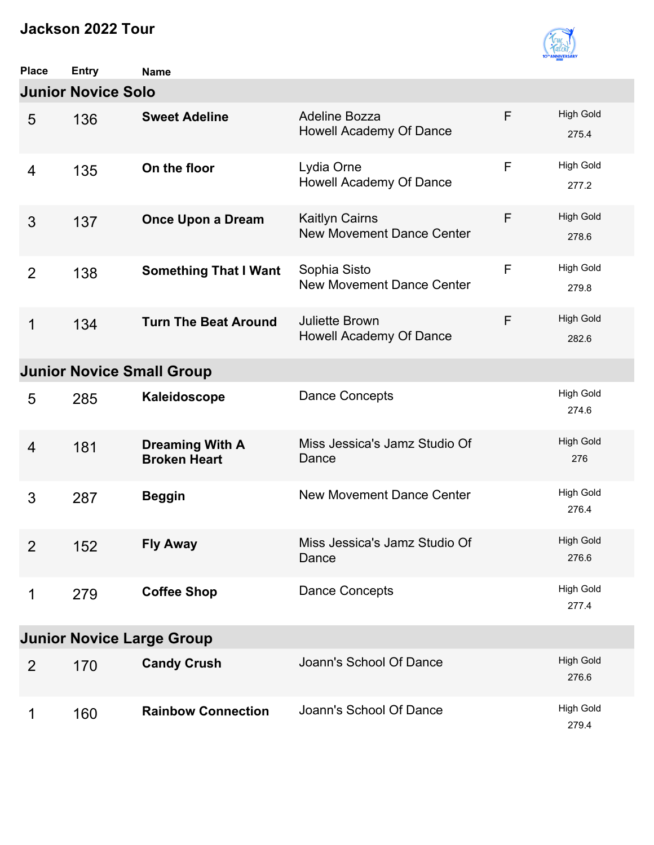

| <b>Place</b>                     | <b>Entry</b> | <b>Name</b>                                   |                                                           |   |                           |  |  |
|----------------------------------|--------------|-----------------------------------------------|-----------------------------------------------------------|---|---------------------------|--|--|
| <b>Junior Novice Solo</b>        |              |                                               |                                                           |   |                           |  |  |
| 5                                | 136          | <b>Sweet Adeline</b>                          | <b>Adeline Bozza</b><br>Howell Academy Of Dance           | F | <b>High Gold</b><br>275.4 |  |  |
| 4                                | 135          | On the floor                                  | Lydia Orne<br>Howell Academy Of Dance                     | F | <b>High Gold</b><br>277.2 |  |  |
| 3                                | 137          | <b>Once Upon a Dream</b>                      | <b>Kaitlyn Cairns</b><br><b>New Movement Dance Center</b> | F | <b>High Gold</b><br>278.6 |  |  |
| $\overline{2}$                   | 138          | <b>Something That I Want</b>                  | Sophia Sisto<br><b>New Movement Dance Center</b>          | F | <b>High Gold</b><br>279.8 |  |  |
| 1                                | 134          | <b>Turn The Beat Around</b>                   | Juliette Brown<br>Howell Academy Of Dance                 | F | <b>High Gold</b><br>282.6 |  |  |
|                                  |              | <b>Junior Novice Small Group</b>              |                                                           |   |                           |  |  |
| 5                                | 285          | Kaleidoscope                                  | Dance Concepts                                            |   | <b>High Gold</b><br>274.6 |  |  |
| 4                                | 181          | <b>Dreaming With A</b><br><b>Broken Heart</b> | Miss Jessica's Jamz Studio Of<br>Dance                    |   | <b>High Gold</b><br>276   |  |  |
| 3                                | 287          | <b>Beggin</b>                                 | <b>New Movement Dance Center</b>                          |   | <b>High Gold</b><br>276.4 |  |  |
| $\overline{2}$                   | 152          | <b>Fly Away</b>                               | Miss Jessica's Jamz Studio Of<br>Dance                    |   | <b>High Gold</b><br>276.6 |  |  |
| 1                                | 279          | <b>Coffee Shop</b>                            | <b>Dance Concepts</b>                                     |   | <b>High Gold</b><br>277.4 |  |  |
| <b>Junior Novice Large Group</b> |              |                                               |                                                           |   |                           |  |  |
| 2                                | 170          | <b>Candy Crush</b>                            | Joann's School Of Dance                                   |   | <b>High Gold</b><br>276.6 |  |  |
| 1                                | 160          | <b>Rainbow Connection</b>                     | Joann's School Of Dance                                   |   | <b>High Gold</b><br>279.4 |  |  |